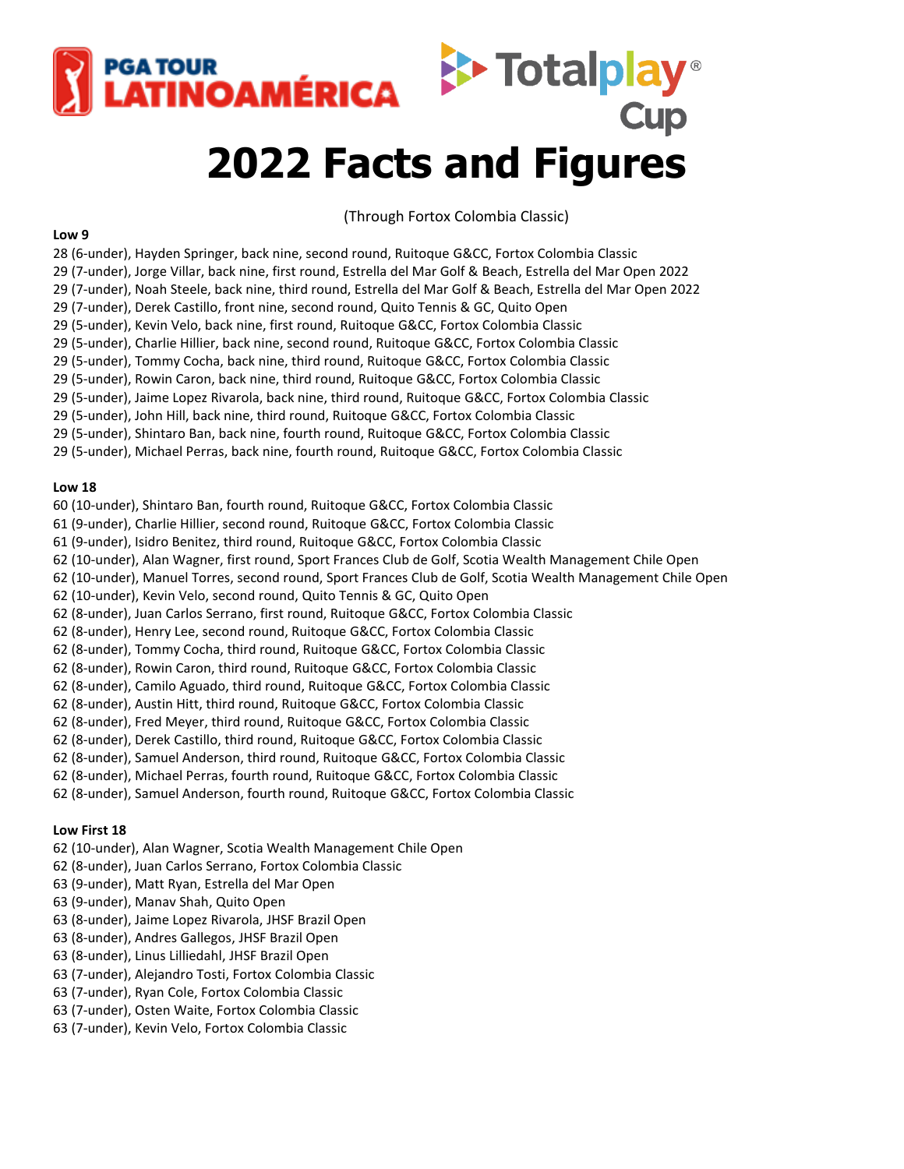

# **2022 Facts and Figures**

(Through Fortox Colombia Classic)

#### **Low 9**

28 (6-under), Hayden Springer, back nine, second round, Ruitoque G&CC, Fortox Colombia Classic 29 (7-under), Jorge Villar, back nine, first round, Estrella del Mar Golf & Beach, Estrella del Mar Open 2022 29 (7-under), Noah Steele, back nine, third round, Estrella del Mar Golf & Beach, Estrella del Mar Open 2022 29 (7-under), Derek Castillo, front nine, second round, Quito Tennis & GC, Quito Open 29 (5-under), Kevin Velo, back nine, first round, Ruitoque G&CC, Fortox Colombia Classic 29 (5-under), Charlie Hillier, back nine, second round, Ruitoque G&CC, Fortox Colombia Classic 29 (5-under), Tommy Cocha, back nine, third round, Ruitoque G&CC, Fortox Colombia Classic 29 (5-under), Rowin Caron, back nine, third round, Ruitoque G&CC, Fortox Colombia Classic 29 (5-under), Jaime Lopez Rivarola, back nine, third round, Ruitoque G&CC, Fortox Colombia Classic 29 (5-under), John Hill, back nine, third round, Ruitoque G&CC, Fortox Colombia Classic 29 (5-under), Shintaro Ban, back nine, fourth round, Ruitoque G&CC, Fortox Colombia Classic 29 (5-under), Michael Perras, back nine, fourth round, Ruitoque G&CC, Fortox Colombia Classic

#### **Low 18**

60 (10-under), Shintaro Ban, fourth round, Ruitoque G&CC, Fortox Colombia Classic

- 61 (9-under), Charlie Hillier, second round, Ruitoque G&CC, Fortox Colombia Classic
- 61 (9-under), Isidro Benitez, third round, Ruitoque G&CC, Fortox Colombia Classic
- 62 (10-under), Alan Wagner, first round, Sport Frances Club de Golf, Scotia Wealth Management Chile Open
- 62 (10-under), Manuel Torres, second round, Sport Frances Club de Golf, Scotia Wealth Management Chile Open
- 62 (10-under), Kevin Velo, second round, Quito Tennis & GC, Quito Open
- 62 (8-under), Juan Carlos Serrano, first round, Ruitoque G&CC, Fortox Colombia Classic
- 62 (8-under), Henry Lee, second round, Ruitoque G&CC, Fortox Colombia Classic
- 62 (8-under), Tommy Cocha, third round, Ruitoque G&CC, Fortox Colombia Classic
- 62 (8-under), Rowin Caron, third round, Ruitoque G&CC, Fortox Colombia Classic
- 62 (8-under), Camilo Aguado, third round, Ruitoque G&CC, Fortox Colombia Classic
- 62 (8-under), Austin Hitt, third round, Ruitoque G&CC, Fortox Colombia Classic
- 62 (8-under), Fred Meyer, third round, Ruitoque G&CC, Fortox Colombia Classic
- 62 (8-under), Derek Castillo, third round, Ruitoque G&CC, Fortox Colombia Classic
- 62 (8-under), Samuel Anderson, third round, Ruitoque G&CC, Fortox Colombia Classic
- 62 (8-under), Michael Perras, fourth round, Ruitoque G&CC, Fortox Colombia Classic
- 62 (8-under), Samuel Anderson, fourth round, Ruitoque G&CC, Fortox Colombia Classic

# **Low First 18**

- 62 (10-under), Alan Wagner, Scotia Wealth Management Chile Open
- 62 (8-under), Juan Carlos Serrano, Fortox Colombia Classic
- 63 (9-under), Matt Ryan, Estrella del Mar Open
- 63 (9-under), Manav Shah, Quito Open
- 63 (8-under), Jaime Lopez Rivarola, JHSF Brazil Open
- 63 (8-under), Andres Gallegos, JHSF Brazil Open
- 63 (8-under), Linus Lilliedahl, JHSF Brazil Open
- 63 (7-under), Alejandro Tosti, Fortox Colombia Classic
- 63 (7-under), Ryan Cole, Fortox Colombia Classic
- 63 (7-under), Osten Waite, Fortox Colombia Classic
- 63 (7-under), Kevin Velo, Fortox Colombia Classic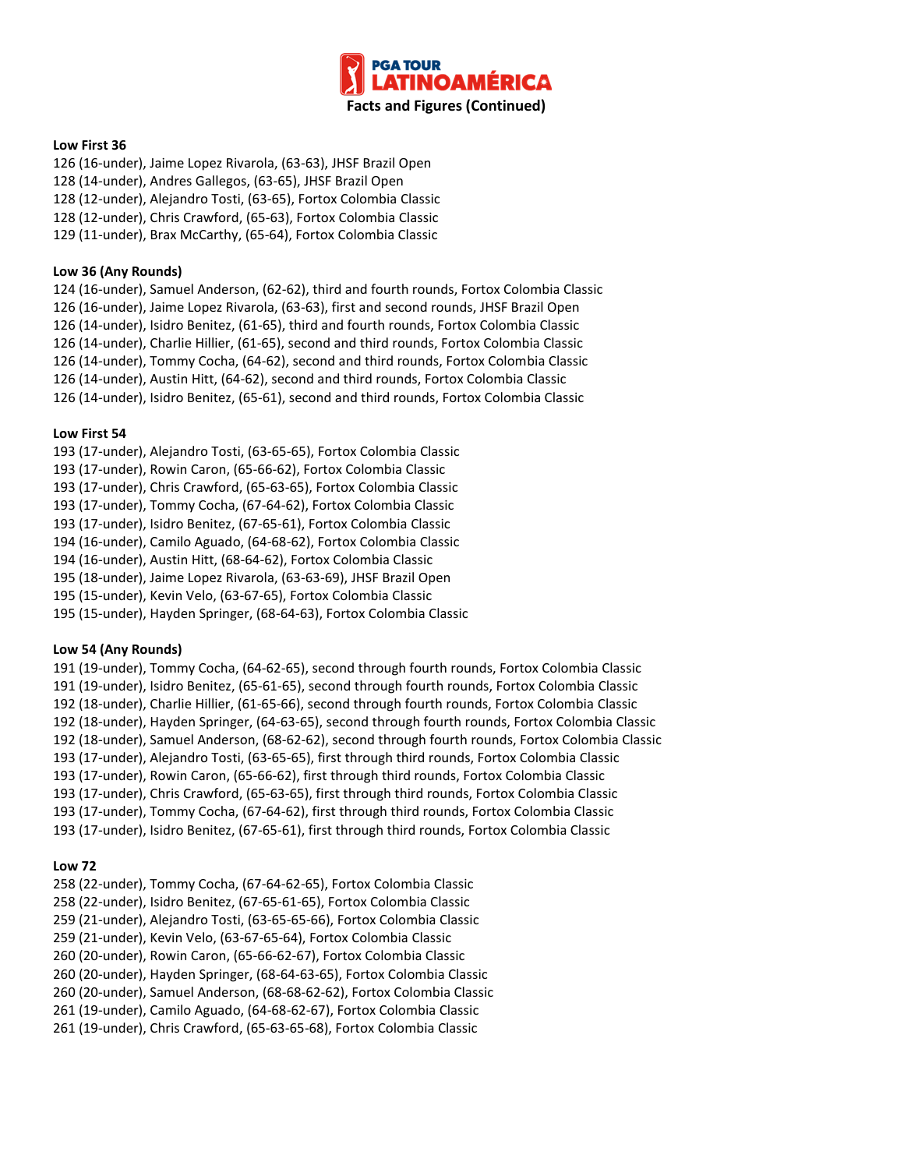

# **Low First 36**

126 (16-under), Jaime Lopez Rivarola, (63-63), JHSF Brazil Open 128 (14-under), Andres Gallegos, (63-65), JHSF Brazil Open 128 (12-under), Alejandro Tosti, (63-65), Fortox Colombia Classic 128 (12-under), Chris Crawford, (65-63), Fortox Colombia Classic 129 (11-under), Brax McCarthy, (65-64), Fortox Colombia Classic

#### **Low 36 (Any Rounds)**

124 (16-under), Samuel Anderson, (62-62), third and fourth rounds, Fortox Colombia Classic

126 (16-under), Jaime Lopez Rivarola, (63-63), first and second rounds, JHSF Brazil Open

126 (14-under), Isidro Benitez, (61-65), third and fourth rounds, Fortox Colombia Classic

126 (14-under), Charlie Hillier, (61-65), second and third rounds, Fortox Colombia Classic

126 (14-under), Tommy Cocha, (64-62), second and third rounds, Fortox Colombia Classic

126 (14-under), Austin Hitt, (64-62), second and third rounds, Fortox Colombia Classic

126 (14-under), Isidro Benitez, (65-61), second and third rounds, Fortox Colombia Classic

## **Low First 54**

193 (17-under), Alejandro Tosti, (63-65-65), Fortox Colombia Classic

193 (17-under), Rowin Caron, (65-66-62), Fortox Colombia Classic

193 (17-under), Chris Crawford, (65-63-65), Fortox Colombia Classic

193 (17-under), Tommy Cocha, (67-64-62), Fortox Colombia Classic

193 (17-under), Isidro Benitez, (67-65-61), Fortox Colombia Classic

194 (16-under), Camilo Aguado, (64-68-62), Fortox Colombia Classic

194 (16-under), Austin Hitt, (68-64-62), Fortox Colombia Classic

195 (18-under), Jaime Lopez Rivarola, (63-63-69), JHSF Brazil Open

195 (15-under), Kevin Velo, (63-67-65), Fortox Colombia Classic

195 (15-under), Hayden Springer, (68-64-63), Fortox Colombia Classic

# **Low 54 (Any Rounds)**

191 (19-under), Tommy Cocha, (64-62-65), second through fourth rounds, Fortox Colombia Classic 191 (19-under), Isidro Benitez, (65-61-65), second through fourth rounds, Fortox Colombia Classic 192 (18-under), Charlie Hillier, (61-65-66), second through fourth rounds, Fortox Colombia Classic 192 (18-under), Hayden Springer, (64-63-65), second through fourth rounds, Fortox Colombia Classic 192 (18-under), Samuel Anderson, (68-62-62), second through fourth rounds, Fortox Colombia Classic 193 (17-under), Alejandro Tosti, (63-65-65), first through third rounds, Fortox Colombia Classic 193 (17-under), Rowin Caron, (65-66-62), first through third rounds, Fortox Colombia Classic 193 (17-under), Chris Crawford, (65-63-65), first through third rounds, Fortox Colombia Classic 193 (17-under), Tommy Cocha, (67-64-62), first through third rounds, Fortox Colombia Classic 193 (17-under), Isidro Benitez, (67-65-61), first through third rounds, Fortox Colombia Classic

# **Low 72**

258 (22-under), Tommy Cocha, (67-64-62-65), Fortox Colombia Classic 258 (22-under), Isidro Benitez, (67-65-61-65), Fortox Colombia Classic 259 (21-under), Alejandro Tosti, (63-65-65-66), Fortox Colombia Classic 259 (21-under), Kevin Velo, (63-67-65-64), Fortox Colombia Classic 260 (20-under), Rowin Caron, (65-66-62-67), Fortox Colombia Classic 260 (20-under), Hayden Springer, (68-64-63-65), Fortox Colombia Classic 260 (20-under), Samuel Anderson, (68-68-62-62), Fortox Colombia Classic 261 (19-under), Camilo Aguado, (64-68-62-67), Fortox Colombia Classic 261 (19-under), Chris Crawford, (65-63-65-68), Fortox Colombia Classic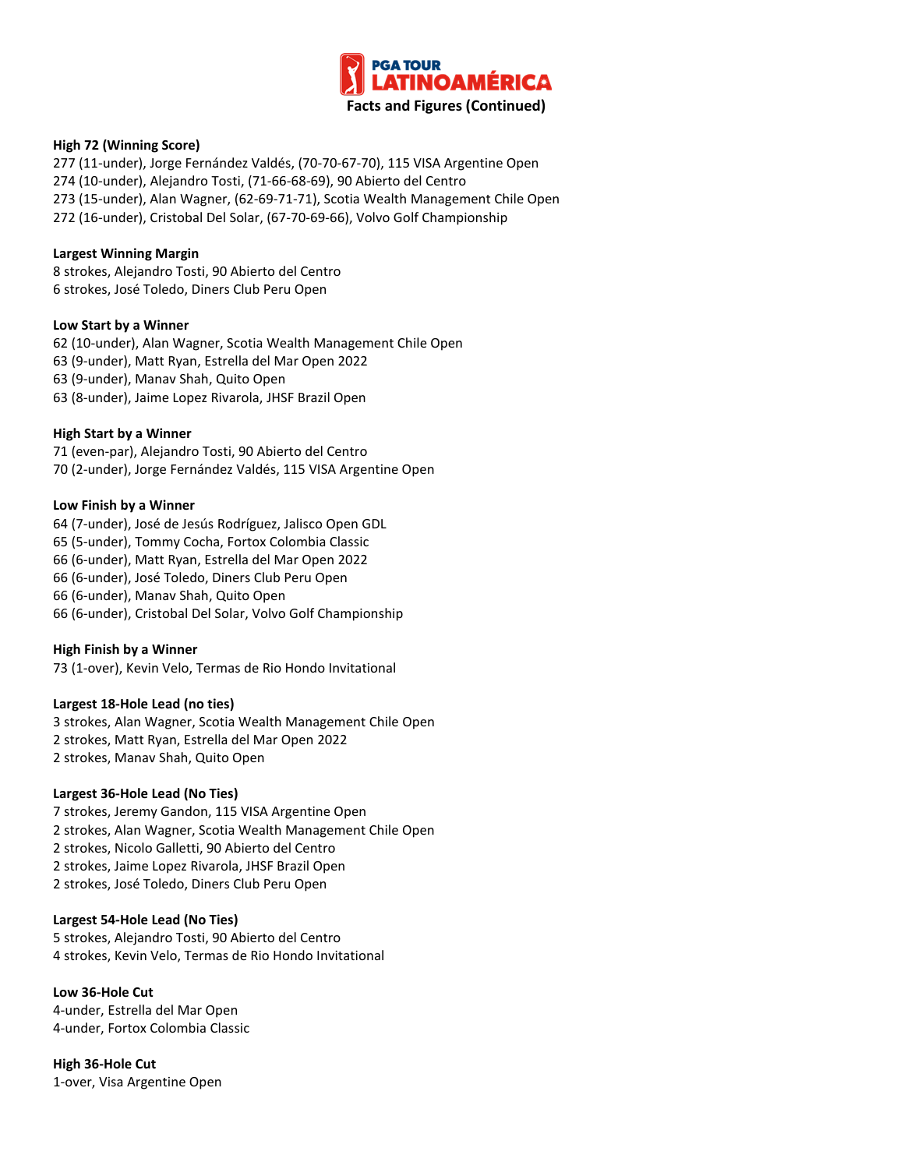

## **High 72 (Winning Score)**

277 (11-under), Jorge Fernández Valdés, (70-70-67-70), 115 VISA Argentine Open 274 (10-under), Alejandro Tosti, (71-66-68-69), 90 Abierto del Centro 273 (15-under), Alan Wagner, (62-69-71-71), Scotia Wealth Management Chile Open 272 (16-under), Cristobal Del Solar, (67-70-69-66), Volvo Golf Championship

#### **Largest Winning Margin**

8 strokes, Alejandro Tosti, 90 Abierto del Centro 6 strokes, José Toledo, Diners Club Peru Open

#### **Low Start by a Winner**

62 (10-under), Alan Wagner, Scotia Wealth Management Chile Open 63 (9-under), Matt Ryan, Estrella del Mar Open 2022 63 (9-under), Manav Shah, Quito Open 63 (8-under), Jaime Lopez Rivarola, JHSF Brazil Open

#### **High Start by a Winner**

71 (even-par), Alejandro Tosti, 90 Abierto del Centro 70 (2-under), Jorge Fernández Valdés, 115 VISA Argentine Open

#### **Low Finish by a Winner**

64 (7-under), José de Jesús Rodríguez, Jalisco Open GDL 65 (5-under), Tommy Cocha, Fortox Colombia Classic

66 (6-under), Matt Ryan, Estrella del Mar Open 2022

66 (6-under), José Toledo, Diners Club Peru Open

66 (6-under), Manav Shah, Quito Open

66 (6-under), Cristobal Del Solar, Volvo Golf Championship

#### **High Finish by a Winner**

73 (1-over), Kevin Velo, Termas de Rio Hondo Invitational

# **Largest 18-Hole Lead (no ties)**

3 strokes, Alan Wagner, Scotia Wealth Management Chile Open 2 strokes, Matt Ryan, Estrella del Mar Open 2022 2 strokes, Manav Shah, Quito Open

#### **Largest 36-Hole Lead (No Ties)**

7 strokes, Jeremy Gandon, 115 VISA Argentine Open 2 strokes, Alan Wagner, Scotia Wealth Management Chile Open 2 strokes, Nicolo Galletti, 90 Abierto del Centro 2 strokes, Jaime Lopez Rivarola, JHSF Brazil Open 2 strokes, José Toledo, Diners Club Peru Open

#### **Largest 54-Hole Lead (No Ties)**

5 strokes, Alejandro Tosti, 90 Abierto del Centro 4 strokes, Kevin Velo, Termas de Rio Hondo Invitational

**Low 36-Hole Cut** 4-under, Estrella del Mar Open 4-under, Fortox Colombia Classic

**High 36-Hole Cut** 1-over, Visa Argentine Open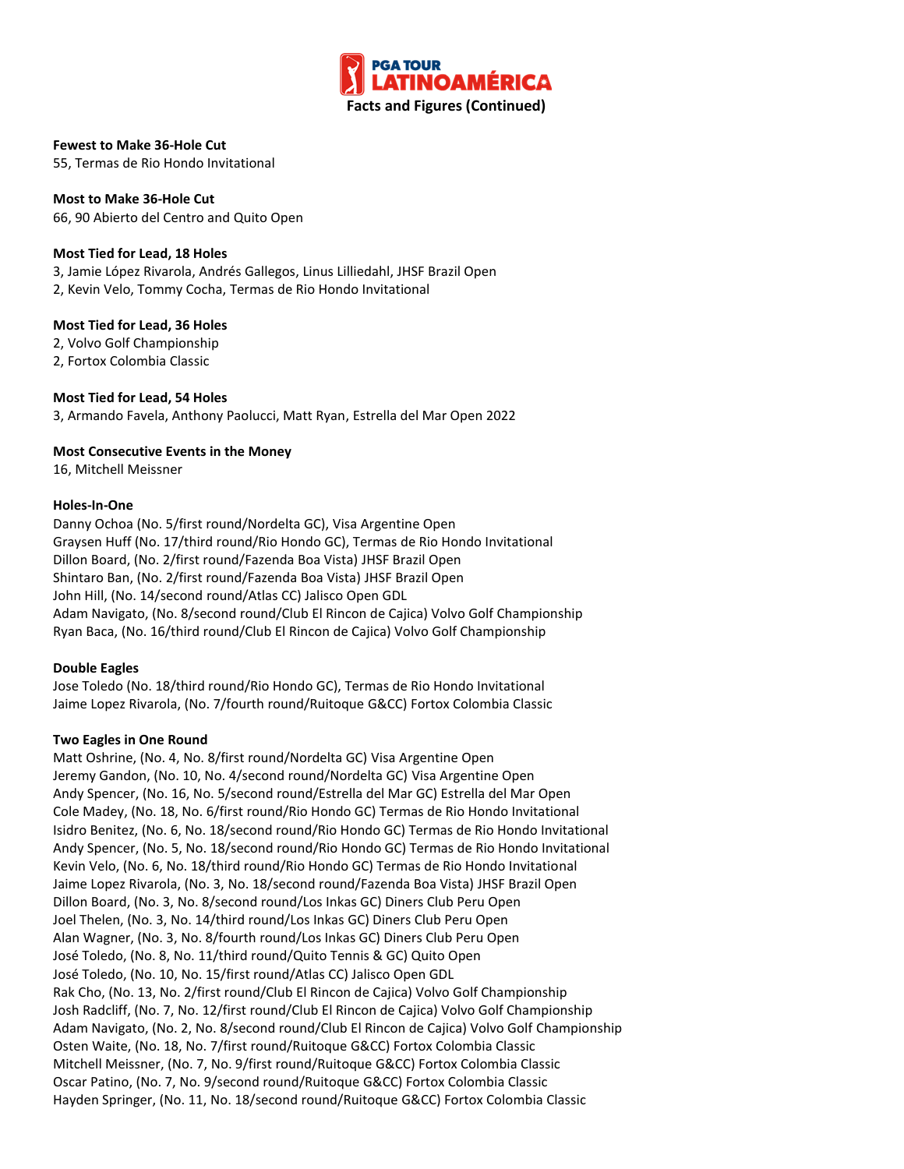

## **Fewest to Make 36-Hole Cut**

55, Termas de Rio Hondo Invitational

**Most to Make 36-Hole Cut** 66, 90 Abierto del Centro and Quito Open

## **Most Tied for Lead, 18 Holes**

3, Jamie López Rivarola, Andrés Gallegos, Linus Lilliedahl, JHSF Brazil Open 2, Kevin Velo, Tommy Cocha, Termas de Rio Hondo Invitational

## **Most Tied for Lead, 36 Holes**

2, Volvo Golf Championship 2, Fortox Colombia Classic

## **Most Tied for Lead, 54 Holes**

3, Armando Favela, Anthony Paolucci, Matt Ryan, Estrella del Mar Open 2022

## **Most Consecutive Events in the Money**

16, Mitchell Meissner

## **Holes-In-One**

Danny Ochoa (No. 5/first round/Nordelta GC), Visa Argentine Open Graysen Huff (No. 17/third round/Rio Hondo GC), Termas de Rio Hondo Invitational Dillon Board, (No. 2/first round/Fazenda Boa Vista) JHSF Brazil Open Shintaro Ban, (No. 2/first round/Fazenda Boa Vista) JHSF Brazil Open John Hill, (No. 14/second round/Atlas CC) Jalisco Open GDL Adam Navigato, (No. 8/second round/Club El Rincon de Cajica) Volvo Golf Championship Ryan Baca, (No. 16/third round/Club El Rincon de Cajica) Volvo Golf Championship

# **Double Eagles**

Jose Toledo (No. 18/third round/Rio Hondo GC), Termas de Rio Hondo Invitational Jaime Lopez Rivarola, (No. 7/fourth round/Ruitoque G&CC) Fortox Colombia Classic

# **Two Eagles in One Round**

Matt Oshrine, (No. 4, No. 8/first round/Nordelta GC) Visa Argentine Open Jeremy Gandon, (No. 10, No. 4/second round/Nordelta GC) Visa Argentine Open Andy Spencer, (No. 16, No. 5/second round/Estrella del Mar GC) Estrella del Mar Open Cole Madey, (No. 18, No. 6/first round/Rio Hondo GC) Termas de Rio Hondo Invitational Isidro Benitez, (No. 6, No. 18/second round/Rio Hondo GC) Termas de Rio Hondo Invitational Andy Spencer, (No. 5, No. 18/second round/Rio Hondo GC) Termas de Rio Hondo Invitational Kevin Velo, (No. 6, No. 18/third round/Rio Hondo GC) Termas de Rio Hondo Invitational Jaime Lopez Rivarola, (No. 3, No. 18/second round/Fazenda Boa Vista) JHSF Brazil Open Dillon Board, (No. 3, No. 8/second round/Los Inkas GC) Diners Club Peru Open Joel Thelen, (No. 3, No. 14/third round/Los Inkas GC) Diners Club Peru Open Alan Wagner, (No. 3, No. 8/fourth round/Los Inkas GC) Diners Club Peru Open José Toledo, (No. 8, No. 11/third round/Quito Tennis & GC) Quito Open José Toledo, (No. 10, No. 15/first round/Atlas CC) Jalisco Open GDL Rak Cho, (No. 13, No. 2/first round/Club El Rincon de Cajica) Volvo Golf Championship Josh Radcliff, (No. 7, No. 12/first round/Club El Rincon de Cajica) Volvo Golf Championship Adam Navigato, (No. 2, No. 8/second round/Club El Rincon de Cajica) Volvo Golf Championship Osten Waite, (No. 18, No. 7/first round/Ruitoque G&CC) Fortox Colombia Classic Mitchell Meissner, (No. 7, No. 9/first round/Ruitoque G&CC) Fortox Colombia Classic Oscar Patino, (No. 7, No. 9/second round/Ruitoque G&CC) Fortox Colombia Classic Hayden Springer, (No. 11, No. 18/second round/Ruitoque G&CC) Fortox Colombia Classic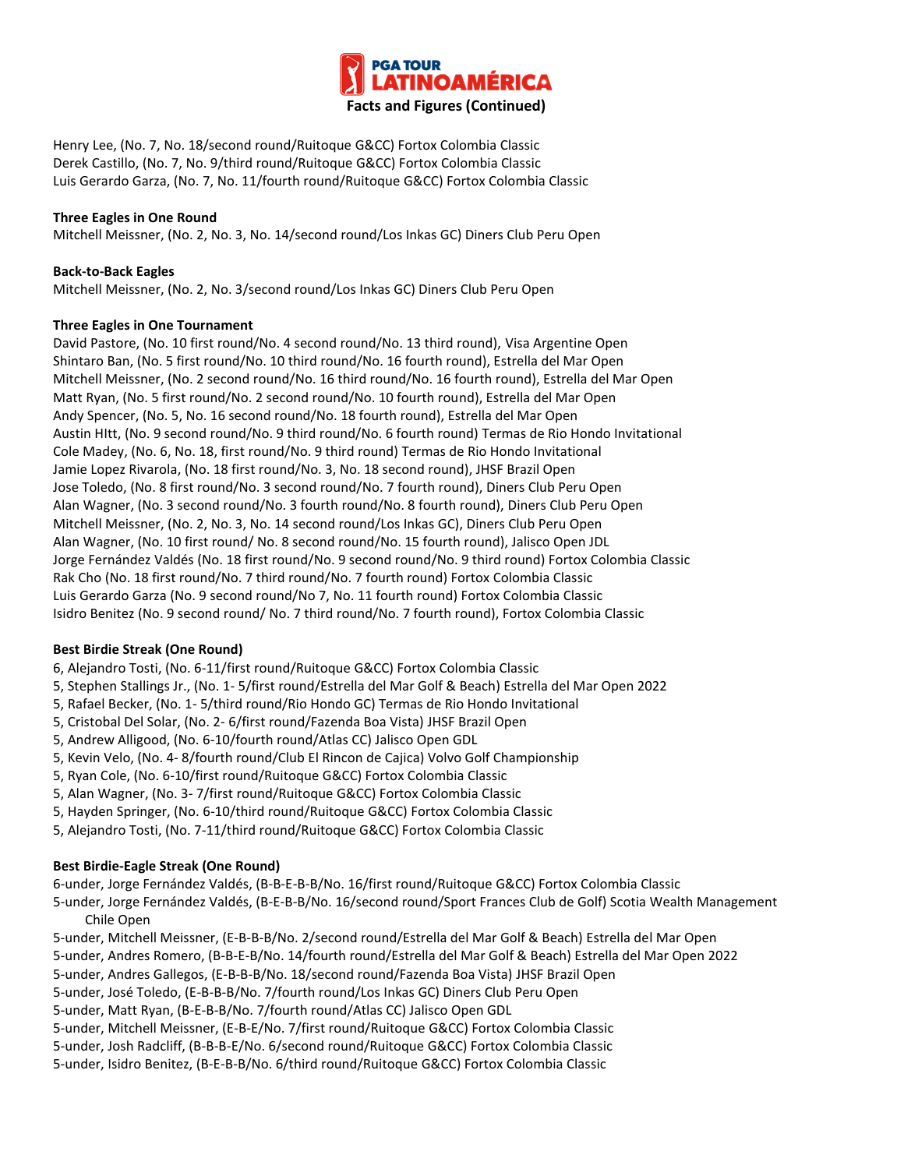

Henry Lee, (No. 7, No. 18/second round/Ruitoque G&CC) Fortox Colombia Classic Derek Castillo, (No. 7, No. 9/third round/Ruitoque G&CC) Fortox Colombia Classic Luis Gerardo Garza, (No. 7, No. 11/fourth round/Ruitoque G&CC) Fortox Colombia Classic

# **Three Eagles in One Round**

Mitchell Meissner, (No. 2, No. 3, No. 14/second round/Los Inkas GC) Diners Club Peru Open

## **Back-to-Back Eagles**

Mitchell Meissner, (No. 2, No. 3/second round/Los Inkas GC) Diners Club Peru Open

## **Three Eagles in One Tournament**

David Pastore, (No. 10 first round/No. 4 second round/No. 13 third round), Visa Argentine Open Shintaro Ban, (No. 5 first round/No. 10 third round/No. 16 fourth round), Estrella del Mar Open Mitchell Meissner, (No. 2 second round/No. 16 third round/No. 16 fourth round), Estrella del Mar Open Matt Ryan, (No. 5 first round/No. 2 second round/No. 10 fourth round), Estrella del Mar Open Andy Spencer, (No. 5, No. 16 second round/No. 18 fourth round), Estrella del Mar Open Austin HItt, (No. 9 second round/No. 9 third round/No. 6 fourth round) Termas de Rio Hondo Invitational Cole Madey, (No. 6, No. 18, first round/No. 9 third round) Termas de Rio Hondo Invitational Jamie Lopez Rivarola, (No. 18 first round/No. 3, No. 18 second round), JHSF Brazil Open Jose Toledo, (No. 8 first round/No. 3 second round/No. 7 fourth round), Diners Club Peru Open Alan Wagner, (No. 3 second round/No. 3 fourth round/No. 8 fourth round), Diners Club Peru Open Mitchell Meissner, (No. 2, No. 3, No. 14 second round/Los Inkas GC), Diners Club Peru Open Alan Wagner, (No. 10 first round/ No. 8 second round/No. 15 fourth round), Jalisco Open JDL Jorge Fernández Valdés (No. 18 first round/No. 9 second round/No. 9 third round) Fortox Colombia Classic Rak Cho (No. 18 first round/No. 7 third round/No. 7 fourth round) Fortox Colombia Classic Luis Gerardo Garza (No. 9 second round/No 7, No. 11 fourth round) Fortox Colombia Classic Isidro Benitez (No. 9 second round/ No. 7 third round/No. 7 fourth round), Fortox Colombia Classic

# **Best Birdie Streak (One Round)**

6, Alejandro Tosti, (No. 6-11/first round/Ruitoque G&CC) Fortox Colombia Classic

5, Stephen Stallings Jr., (No. 1- 5/first round/Estrella del Mar Golf & Beach) Estrella del Mar Open 2022

5, Rafael Becker, (No. 1- 5/third round/Rio Hondo GC) Termas de Rio Hondo Invitational

5, Cristobal Del Solar, (No. 2- 6/first round/Fazenda Boa Vista) JHSF Brazil Open

5, Andrew Alligood, (No. 6-10/fourth round/Atlas CC) Jalisco Open GDL

5, Kevin Velo, (No. 4- 8/fourth round/Club El Rincon de Cajica) Volvo Golf Championship

5, Ryan Cole, (No. 6-10/first round/Ruitoque G&CC) Fortox Colombia Classic

5, Alan Wagner, (No. 3- 7/first round/Ruitoque G&CC) Fortox Colombia Classic

5, Hayden Springer, (No. 6-10/third round/Ruitoque G&CC) Fortox Colombia Classic

5, Alejandro Tosti, (No. 7-11/third round/Ruitoque G&CC) Fortox Colombia Classic

# **Best Birdie-Eagle Streak (One Round)**

6-under, Jorge Fernández Valdés, (B-B-E-B-B/No. 16/first round/Ruitoque G&CC) Fortox Colombia Classic

5-under, Jorge Fernández Valdés, (B-E-B-B/No. 16/second round/Sport Frances Club de Golf) Scotia Wealth Management Chile Open

5-under, Mitchell Meissner, (E-B-B-B/No. 2/second round/Estrella del Mar Golf & Beach) Estrella del Mar Open

5-under, Andres Romero, (B-B-E-B/No. 14/fourth round/Estrella del Mar Golf & Beach) Estrella del Mar Open 2022

5-under, Andres Gallegos, (E-B-B-B/No. 18/second round/Fazenda Boa Vista) JHSF Brazil Open

5-under, José Toledo, (E-B-B-B/No. 7/fourth round/Los Inkas GC) Diners Club Peru Open

5-under, Matt Ryan, (B-E-B-B/No. 7/fourth round/Atlas CC) Jalisco Open GDL

5-under, Mitchell Meissner, (E-B-E/No. 7/first round/Ruitoque G&CC) Fortox Colombia Classic

5-under, Josh Radcliff, (B-B-B-E/No. 6/second round/Ruitoque G&CC) Fortox Colombia Classic

5-under, Isidro Benitez, (B-E-B-B/No. 6/third round/Ruitoque G&CC) Fortox Colombia Classic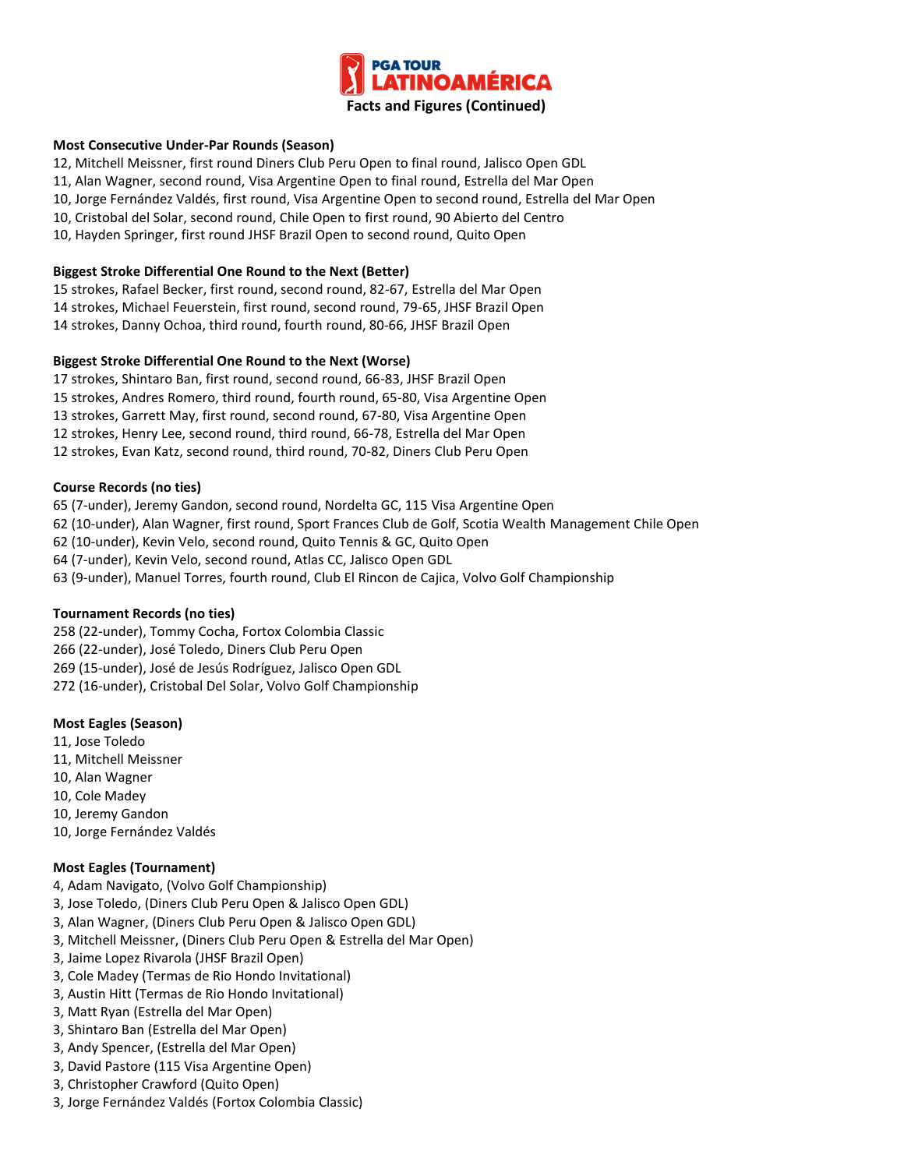

## **Most Consecutive Under-Par Rounds (Season)**

12, Mitchell Meissner, first round Diners Club Peru Open to final round, Jalisco Open GDL

- 11, Alan Wagner, second round, Visa Argentine Open to final round, Estrella del Mar Open
- 10, Jorge Fernández Valdés, first round, Visa Argentine Open to second round, Estrella del Mar Open
- 10, Cristobal del Solar, second round, Chile Open to first round, 90 Abierto del Centro
- 10, Hayden Springer, first round JHSF Brazil Open to second round, Quito Open

## **Biggest Stroke Differential One Round to the Next (Better)**

15 strokes, Rafael Becker, first round, second round, 82-67, Estrella del Mar Open 14 strokes, Michael Feuerstein, first round, second round, 79-65, JHSF Brazil Open 14 strokes, Danny Ochoa, third round, fourth round, 80-66, JHSF Brazil Open

## **Biggest Stroke Differential One Round to the Next (Worse)**

17 strokes, Shintaro Ban, first round, second round, 66-83, JHSF Brazil Open

15 strokes, Andres Romero, third round, fourth round, 65-80, Visa Argentine Open

13 strokes, Garrett May, first round, second round, 67-80, Visa Argentine Open

12 strokes, Henry Lee, second round, third round, 66-78, Estrella del Mar Open

12 strokes, Evan Katz, second round, third round, 70-82, Diners Club Peru Open

## **Course Records (no ties)**

65 (7-under), Jeremy Gandon, second round, Nordelta GC, 115 Visa Argentine Open 62 (10-under), Alan Wagner, first round, Sport Frances Club de Golf, Scotia Wealth Management Chile Open 62 (10-under), Kevin Velo, second round, Quito Tennis & GC, Quito Open 64 (7-under), Kevin Velo, second round, Atlas CC, Jalisco Open GDL 63 (9-under), Manuel Torres, fourth round, Club El Rincon de Cajica, Volvo Golf Championship

#### **Tournament Records (no ties)**

258 (22-under), Tommy Cocha, Fortox Colombia Classic

266 (22-under), José Toledo, Diners Club Peru Open

269 (15-under), José de Jesús Rodríguez, Jalisco Open GDL

272 (16-under), Cristobal Del Solar, Volvo Golf Championship

#### **Most Eagles (Season)**

- 11, Jose Toledo
- 11, Mitchell Meissner
- 10, Alan Wagner
- 10, Cole Madey
- 10, Jeremy Gandon
- 10, Jorge Fernández Valdés

#### **Most Eagles (Tournament)**

- 4, Adam Navigato, (Volvo Golf Championship)
- 3, Jose Toledo, (Diners Club Peru Open & Jalisco Open GDL)
- 3, Alan Wagner, (Diners Club Peru Open & Jalisco Open GDL)
- 3, Mitchell Meissner, (Diners Club Peru Open & Estrella del Mar Open)
- 3, Jaime Lopez Rivarola (JHSF Brazil Open)
- 3, Cole Madey (Termas de Rio Hondo Invitational)
- 3, Austin Hitt (Termas de Rio Hondo Invitational)
- 3, Matt Ryan (Estrella del Mar Open)
- 3, Shintaro Ban (Estrella del Mar Open)
- 3, Andy Spencer, (Estrella del Mar Open)
- 3, David Pastore (115 Visa Argentine Open)
- 3, Christopher Crawford (Quito Open)
- 3, Jorge Fernández Valdés (Fortox Colombia Classic)